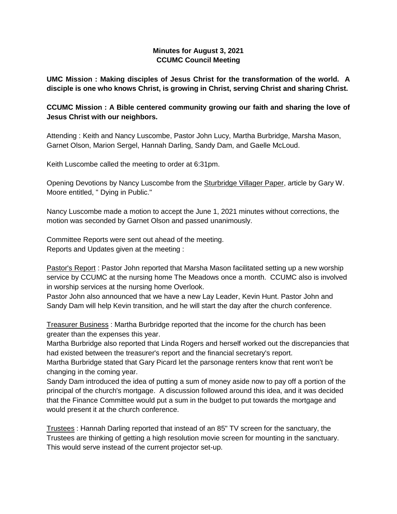# **Minutes for August 3, 2021 CCUMC Council Meeting**

**UMC Mission : Making disciples of Jesus Christ for the transformation of the world. A disciple is one who knows Christ, is growing in Christ, serving Christ and sharing Christ.**

# **CCUMC Mission : A Bible centered community growing our faith and sharing the love of Jesus Christ with our neighbors.**

Attending : Keith and Nancy Luscombe, Pastor John Lucy, Martha Burbridge, Marsha Mason, Garnet Olson, Marion Sergel, Hannah Darling, Sandy Dam, and Gaelle McLoud.

Keith Luscombe called the meeting to order at 6:31pm.

Opening Devotions by Nancy Luscombe from the Sturbridge Villager Paper, article by Gary W. Moore entitled, " Dying in Public."

Nancy Luscombe made a motion to accept the June 1, 2021 minutes without corrections, the motion was seconded by Garnet Olson and passed unanimously.

Committee Reports were sent out ahead of the meeting. Reports and Updates given at the meeting :

Pastor's Report : Pastor John reported that Marsha Mason facilitated setting up a new worship service by CCUMC at the nursing home The Meadows once a month. CCUMC also is involved in worship services at the nursing home Overlook.

Pastor John also announced that we have a new Lay Leader, Kevin Hunt. Pastor John and Sandy Dam will help Kevin transition, and he will start the day after the church conference.

Treasurer Business : Martha Burbridge reported that the income for the church has been greater than the expenses this year.

Martha Burbridge also reported that Linda Rogers and herself worked out the discrepancies that had existed between the treasurer's report and the financial secretary's report.

Martha Burbridge stated that Gary Picard let the parsonage renters know that rent won't be changing in the coming year.

Sandy Dam introduced the idea of putting a sum of money aside now to pay off a portion of the principal of the church's mortgage. A discussion followed around this idea, and it was decided that the Finance Committee would put a sum in the budget to put towards the mortgage and would present it at the church conference.

Trustees : Hannah Darling reported that instead of an 85" TV screen for the sanctuary, the Trustees are thinking of getting a high resolution movie screen for mounting in the sanctuary. This would serve instead of the current projector set-up.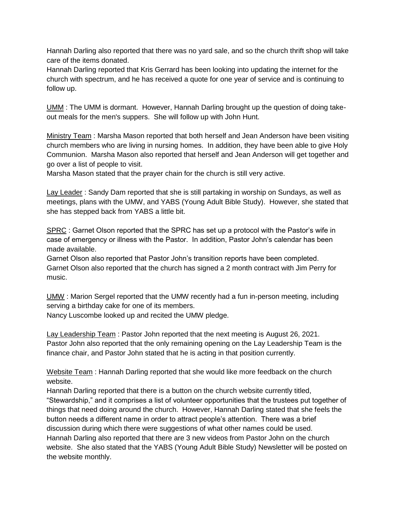Hannah Darling also reported that there was no yard sale, and so the church thrift shop will take care of the items donated.

Hannah Darling reported that Kris Gerrard has been looking into updating the internet for the church with spectrum, and he has received a quote for one year of service and is continuing to follow up.

UMM : The UMM is dormant. However, Hannah Darling brought up the question of doing takeout meals for the men's suppers. She will follow up with John Hunt.

Ministry Team : Marsha Mason reported that both herself and Jean Anderson have been visiting church members who are living in nursing homes. In addition, they have been able to give Holy Communion. Marsha Mason also reported that herself and Jean Anderson will get together and go over a list of people to visit.

Marsha Mason stated that the prayer chain for the church is still very active.

Lay Leader: Sandy Dam reported that she is still partaking in worship on Sundays, as well as meetings, plans with the UMW, and YABS (Young Adult Bible Study). However, she stated that she has stepped back from YABS a little bit.

SPRC : Garnet Olson reported that the SPRC has set up a protocol with the Pastor's wife in case of emergency or illness with the Pastor. In addition, Pastor John's calendar has been made available.

Garnet Olson also reported that Pastor John's transition reports have been completed. Garnet Olson also reported that the church has signed a 2 month contract with Jim Perry for music.

UMW : Marion Sergel reported that the UMW recently had a fun in-person meeting, including serving a birthday cake for one of its members.

Nancy Luscombe looked up and recited the UMW pledge.

Lay Leadership Team : Pastor John reported that the next meeting is August 26, 2021. Pastor John also reported that the only remaining opening on the Lay Leadership Team is the finance chair, and Pastor John stated that he is acting in that position currently.

Website Team : Hannah Darling reported that she would like more feedback on the church website.

Hannah Darling reported that there is a button on the church website currently titled, "Stewardship," and it comprises a list of volunteer opportunities that the trustees put together of things that need doing around the church. However, Hannah Darling stated that she feels the button needs a different name in order to attract people's attention. There was a brief discussion during which there were suggestions of what other names could be used. Hannah Darling also reported that there are 3 new videos from Pastor John on the church website. She also stated that the YABS (Young Adult Bible Study) Newsletter will be posted on the website monthly.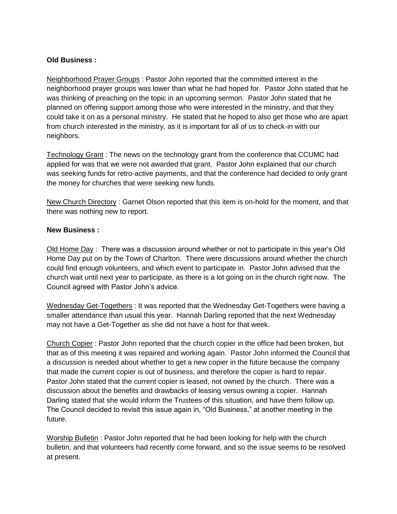### **Old Business :**

Neighborhood Prayer Groups : Pastor John reported that the committed interest in the neighborhood prayer groups was lower than what he had hoped for. Pastor John stated that he was thinking of preaching on the topic in an upcoming sermon. Pastor John stated that he planned on offering support among those who were interested in the ministry, and that they could take it on as a personal ministry. He stated that he hoped to also get those who are apart from church interested in the ministry, as it is important for all of us to check-in with our neighbors.

Technology Grant : The news on the technology grant from the conference that CCUMC had applied for was that we were not awarded that grant. Pastor John explained that our church was seeking funds for retro-active payments, and that the conference had decided to only grant the money for churches that were seeking new funds.

New Church Directory : Garnet Olson reported that this item is on-hold for the moment, and that there was nothing new to report.

#### **New Business :**

Old Home Day : There was a discussion around whether or not to participate in this year's Old Home Day put on by the Town of Charlton. There were discussions around whether the church could find enough volunteers, and which event to participate in. Pastor John advised that the church wait until next year to participate, as there is a lot going on in the church right now. The Council agreed with Pastor John's advice.

Wednesday Get-Togethers : It was reported that the Wednesday Get-Togethers were having a smaller attendance than usual this year. Hannah Darling reported that the next Wednesday may not have a Get-Together as she did not have a host for that week.

Church Copier : Pastor John reported that the church copier in the office had been broken, but that as of this meeting it was repaired and working again. Pastor John informed the Council that a discussion is needed about whether to get a new copier in the future because the company that made the current copier is out of business, and therefore the copier is hard to repair. Pastor John stated that the current copier is leased, not owned by the church. There was a discussion about the benefits and drawbacks of leasing versus owning a copier. Hannah Darling stated that she would inform the Trustees of this situation, and have them follow up. The Council decided to revisit this issue again in, "Old Business," at another meeting in the future.

Worship Bulletin : Pastor John reported that he had been looking for help with the church bulletin, and that volunteers had recently come forward, and so the issue seems to be resolved at present.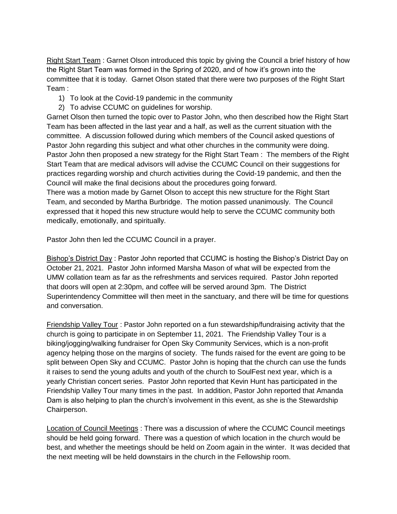Right Start Team : Garnet Olson introduced this topic by giving the Council a brief history of how the Right Start Team was formed in the Spring of 2020, and of how it's grown into the committee that it is today. Garnet Olson stated that there were two purposes of the Right Start Team :

- 1) To look at the Covid-19 pandemic in the community
- 2) To advise CCUMC on guidelines for worship.

Garnet Olson then turned the topic over to Pastor John, who then described how the Right Start Team has been affected in the last year and a half, as well as the current situation with the committee. A discussion followed during which members of the Council asked questions of Pastor John regarding this subject and what other churches in the community were doing. Pastor John then proposed a new strategy for the Right Start Team : The members of the Right Start Team that are medical advisors will advise the CCUMC Council on their suggestions for practices regarding worship and church activities during the Covid-19 pandemic, and then the Council will make the final decisions about the procedures going forward.

There was a motion made by Garnet Olson to accept this new structure for the Right Start Team, and seconded by Martha Burbridge. The motion passed unanimously. The Council expressed that it hoped this new structure would help to serve the CCUMC community both medically, emotionally, and spiritually.

Pastor John then led the CCUMC Council in a prayer.

Bishop's District Day : Pastor John reported that CCUMC is hosting the Bishop's District Day on October 21, 2021. Pastor John informed Marsha Mason of what will be expected from the UMW collation team as far as the refreshments and services required. Pastor John reported that doors will open at 2:30pm, and coffee will be served around 3pm. The District Superintendency Committee will then meet in the sanctuary, and there will be time for questions and conversation.

Friendship Valley Tour : Pastor John reported on a fun stewardship/fundraising activity that the church is going to participate in on September 11, 2021. The Friendship Valley Tour is a biking/jogging/walking fundraiser for Open Sky Community Services, which is a non-profit agency helping those on the margins of society. The funds raised for the event are going to be split between Open Sky and CCUMC. Pastor John is hoping that the church can use the funds it raises to send the young adults and youth of the church to SoulFest next year, which is a yearly Christian concert series. Pastor John reported that Kevin Hunt has participated in the Friendship Valley Tour many times in the past. In addition, Pastor John reported that Amanda Dam is also helping to plan the church's involvement in this event, as she is the Stewardship Chairperson.

Location of Council Meetings : There was a discussion of where the CCUMC Council meetings should be held going forward. There was a question of which location in the church would be best, and whether the meetings should be held on Zoom again in the winter. It was decided that the next meeting will be held downstairs in the church in the Fellowship room.